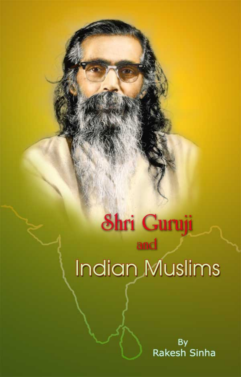# **Shri Guruji** and **Indian Muslims**

By **Rakesh Sinha**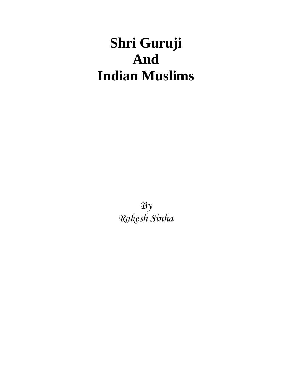## **Shri Guruji And Indian Muslims**

*By Rakesh Sinha*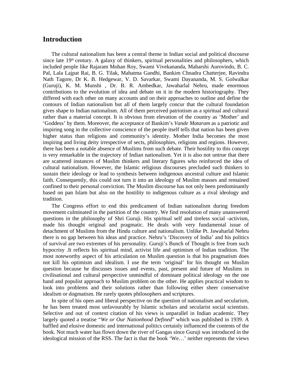#### **Introduction**

The cultural nationalism has been a central theme in Indian social and political discourse since late 19<sup>th</sup> century. A galaxy of thinkers, spiritual personalities and philosophers, which included people like Rajaram Mohan Roy, Swami Vivekananda, Maharshi Aurovindo, B. C. Pal, Lala Lajpat Rai, B. G. Tilak, Mahatma Gandhi, Bankim Chnadra Chatterjee, Ravindra Nath Tagore, Dr K. B. Hedgewar, V. D. Savarkar, Swami Dayananda, M. S. Golwalkar (Guruji), K. M. Munshi , Dr. B. R. Ambedkar, Jawaharlal Nehru, made enormous contributions to the evolution of idea and debate on it in the modern historiography. They differed with each other on many accounts and on their approaches to outline and define the contours of Indian nationalism but all of them largely concur that the cultural foundation gives shape to Indian nationalism. All of them perceived patriotism as a spiritual and cultural rather than a material concept. It is obvious from elevation of the country as 'Mother' and 'Goddess' by them. Moreover, the acceptance of Bankim's *Vande Mataram* as a patriotic and inspiring song in the collective conscience of the people itself tells that nation has been given higher status than religions and community's identity. Mother India becomes the most inspiring and living deity irrespective of sects, philosophies, religions and regions. However, there has been a notable absence of Muslims from such debate. Their hostility to this concept is very remarkable in the trajectory of Indian nationalism. Yet it is also not untrue that there are scattered instances of Muslim thinkers and literary figures who reinforced the idea of cultural nationalism. However, the Islamic religious discourses precluded such thinkers to sustain their ideology or lead to synthesis between indigenous ancestral culture and Islamic faith. Consequently, this could not turn it into an ideology of Muslim masses and remained confined to their personal conviction. The Muslim discourse has not only been predominantly based on pan Islam but also on the hostility to indigenous culture as a rival ideology and tradition.

The Congress effort to end this predicament of Indian nationalism during freedom movement culminated in the partition of the country. We find resolution of many unanswered questions in the philosophy of Shri Guruji. His spiritual self and tireless social -activism, made his thought original and pragmatic. He deals with very fundamental issue of detachment of Muslims from the Hindu culture and nationalism. Unlike Pt. Jawaharlal Nehru there is no gap between his ideas and practice. Nehru's 'Discovery of India' and his politics of survival are two extremes of his personality. Guruji's Bunch of Thought is free from such hypocrisy .It reflects his spiritual mind, activist life and optimism of Indian tradition. The most noteworthy aspect of his articulation on Muslim question is that his pragmatism does not kill his optimism and idealism. I use the term 'original' for his thought on Muslim question because he discusses issues and events, past, present and future of Muslims in civilisational and cultural perspective unmindful of dominant political ideology on the one hand and populist approach to Muslim problem on the other. He applies practical wisdom to look into problems and their solutions rather than following either sheer conservative idealism or dogmatism. He rarely quotes philosophers and scriptures.

In spite of his open and liberal perspective on the question of nationalism and secularism, he has been treated most unfavourably by Islamic scholars and secularist social scientists. Selective and out of context citation of his views is unparallel in Indian academic. They largely quoted a treatise "*We or Our Nationhood Defined*" which was published in 1939. A baffled and elusive domestic and international politics certainly influenced the contents of the book. Not much water has flown down the river of Gangas since Guruji was introduced in the ideological mission of the RSS. The fact is that the book 'We…' neither represents the views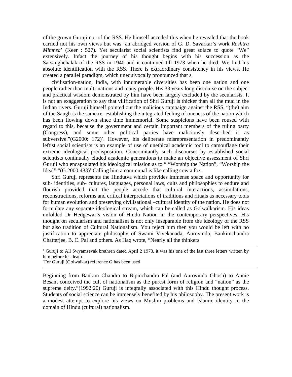of the grown Guruji nor of the RSS. He himself acceded this when he revealed that the book carried not his own views but was 'an abridged version of G. D. Savarkar's work *Rashtra Mimnsa*' (Keer : 527). Yet secularist social scientists find great solace to quote "We" extensively. Infact the journey of his thought begins with his succession as the Sarsanghchalak of the RSS in 1940 and it continued till 1973 when he died. We find his absolute identification with the RSS. There is extraordinary consistency in his views. He created a parallel paradigm, which unequivocally pronounced that a

civilisation-nation, India, with innumerable diversities has been one nation and one people rather than multi-nations and many people. His 33 years long discourse on the subject and practical wisdom demonstrated by him have been largely excluded by the secularists. It is not an exaggeration to say that vilification of Shri Guruji is thicker than all the mud in the Indian rivers. Guruji himself pointed out the malicious campaign against the RSS, "(the) aim of the Sangh is the same re- establishing the integrated feeling of oneness of the nation which has been flowing down since time immemorial. Some suspicions have been roused with regard to this, because the government and certain important members of the ruling party (Congress), and some other political parties have maliciously described it as subversive."(G2000: 172)\*. However, his deliberate misrepresentation in predominantly leftist social scientists is an example of use of unethical academic tool to camouflage their extreme ideological predisposition. Concomitantly such discourses by established social scientists continually eluded academic generations to make an objective assessment of Shri Guruji who encapsulated his ideological mission as to " "Worship the Nation", "Worship the Ideal"." $(G 2000:483)$ <sup>1</sup> Calling him a communal is like calling cow a fox.

Shri Guruji represents the Hindutva which provides immense space and opportunity for sub- identities, sub- cultures, languages, personal laws, cults and philosophies to endure and flourish provided that the people accede that cultural interactions, assimilations, reconstructions, reforms and critical interpretations of traditions and rituals as necessary tools for human evolution and preserving civilisational –cultural identity of the nation. He does not formulate any separate ideological stream, which can be called as Golwalkarism. His ideas unfolded Dr Hedgewar's vision of Hindu Nation in the contemporary perspectives. His thought on secularism and nationalism is not only inseparable from the ideology of the RSS but also tradition of Cultural Nationalism. You reject him then you would be left with no justification to appreciate philosophy of Swami Vivekanada, Aurovindo, Bankimchandra Chatterjee, B. C. Pal and others. As Haq wrote, "Nearly all the thinkers

\* For Guruji (Golwalkar) reference G has been used

Beginning from Bankim Chandra to Bipinchandra Pal (and Aurovindo Ghosh) to Annie Besant conceived the cult of nationalism as the purest form of religion and "nation" as the supreme deity."(1992:20) Guruji is integrally associated with this Hindu thought process. Students of social science can be immensely benefited by his philosophy. The present work is a modest attempt to explore his views on Muslim problems and Islamic identity in the domain of Hindu (cultural) nationalism.

<sup>1</sup> Guruji to All Swyamsevak brethren dated April 2 1973, it was his one of the last three letters written by him before his death.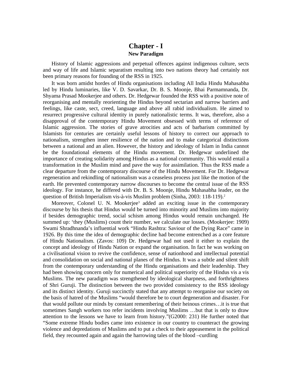#### **Chapter - I New Paradigm**

History of Islamic aggressions and perpetual offences against indigenous culture, sects and way of life and Islamic separatism resulting into two nations theory had certainly not been primary reasons for founding of the RSS in 1925.

It was born amidst hordes of Hindu organisations including All India Hindu Mahasabha led by Hindu luminaries, like V. D. Savarkar, Dr. B. S. Moonje, Bhai Parmamnanda, Dr. Shyama Prasad Mookerjee and others. Dr. Hedgewar founded the RSS with a positive note of reorganising and mentally reorienting the Hindus beyond sectarian and narrow barriers and feelings, like caste, sect, creed, language and above all rabid individualism. He aimed to resurrect progressive cultural identity in purely nationalistic terms. It was, therefore, also a disapproval of the contemporary Hindu Movement obsessed with terms of reference of Islamic aggression. The stories of grave atrocities and acts of barbarism committed by Islamists for centuries are certainly useful lessons of history to correct our approach to nationalism, strengthen inner resilience of the nation and to make categorical distinctions between a national and an alien. However, the history and ideology of Islam in India cannot be the foundational elements of the Hindu movement. Dr. Hedgewar underlined the importance of creating solidarity among Hindus as a national community. This would entail a transformation in the Muslim mind and pave the way for assimilation. Thus the RSS made a clear departure from the contemporary discourse of the Hindu Movement. For Dr. Hedgewar regeneration and rekindling of nationalism was a ceaseless process just like the motion of the earth. He prevented contemporary narrow discourses to become the central issue of the RSS ideology. For instance, he differed with Dr. B. S. Moonje, Hindu Mahasabha leader, on the question of British Imperialism vis-à-vis Muslim problem (Sinha, 2003: 118-119).2

Moreover, Colonel U. N. Mookerjee<sup>3</sup> added an exciting issue in the contemporary discourse by his thesis that Hindus would be turned into minority and Muslims into majority if besides demographic trend, social schism among Hindus would remain unchanged. He summed up: 'they (Muslims) count their number, we calculate our losses. (Mookerjee: 1909) Swami Shradhnanda's influential work "Hindu Rashtra: Saviour of the Dying Race" came in 1926. By this time the idea of demographic decline had become entrenched as a core feature of Hindu Nationalism. (Zavos: 109) Dr. Hedgewar had not used it either to explain the concept and ideology of Hindu Nation or expand the organisation. In fact he was working on a civilisational vision to revive the confidence, sense of nationhood and intellectual potential and consolidation on social and national planes of the Hindus. It was a subtle and silent shift from the contemporary understanding of the Hindu organisations and their leadership. They had been showing concern only for numerical and political superiority of the Hindus vis a vis Muslims. The new paradigm was strengthened by ideological sharpness, and forthrightness of Shri Guruji. The distinction between the two provided consistency to the RSS ideology and its distinct identity. Guruji succinctly stated that any attempt to reorganise our society on the basis of hatred of the Muslims "would therefore be to court degeneration and disaster. For that would pollute our minds by constant remembering of their heinous crimes…it is true that sometimes Sangh workers too refer incidents involving Muslims …but that is only to draw attention to the lessons we have to learn from history."(G2000: 231) He further noted that "Some extreme Hindu bodies came into existence in our country to counteract the growing violence and depredations of Muslims and to put a check to their appeasement in the political field, they recounted again and again the harrowing tales of the blood –curdling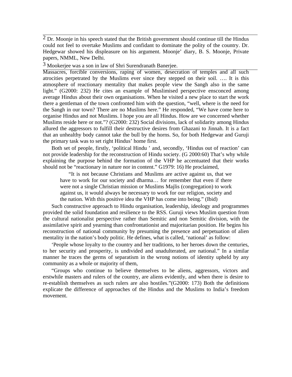$<sup>2</sup>$  Dr. Moonje in his speech stated that the British government should continue till the Hindus</sup> could not feel to overtake Muslims and confidant to dominate the polity of the country. Dr. Hedgewar showed his displeasure on his argument. Moonje' diary, B. S. Moonje, Private papers, NMML, New Delhi.

3 Mookerjee was a son in law of Shri Surendranath Banerjee.

Massacres, forcible conversions, raping of women, desecration of temples and all such atrocities perpetrated by the Muslims ever since they stepped on their soil. …. It is this atmosphere of reactionary mentality that makes people view the Sangh also in the same light." (G2000: 232) He cites an example of Muslimised perspective ensconced among average Hindus about their own organisations. When he visited a new place to start the work there a gentleman of the town confronted him with the question, "well, where is the need for the Sangh in our town? There are no Muslims here." He responded, "We have come here to organise Hindus and not Muslims. I hope you are all Hindus. How are we concerned whether Muslims reside here or not."? (G2000: 232) Social divisions, lack of solidarity among Hindus allured the aggressors to fulfill their destructive desires from Ghazani to Jinnah. It is a fact that an unhealthy body cannot take the bull by the horns. So, for both Hedgewar and Guruji the primary task was to set right Hindus' home first.

Both set of people, firstly, 'political Hindu ' and, secondly, 'Hindus out of reaction' can not provide leadership for the reconstruction of Hindu society. (G 2000:60) That's why while explaining the purpose behind the formation of the VHP he accentuated that their works should not be "reactionary in nature nor in content." G1979: 16) He proclaimed,

"It is not because Christians and Muslims are active against us, that we have to work for our society and dharma... for remember that even if there were not a single Christian mission or Muslims Majlis (congregation) to work against us, it would always be necessary to work for our religion, society and the nation. With this positive idea the VHP has come into being." (Ibid)

Such constructive approach to Hindu organisation, leadership, ideology and programmes provided the solid foundation and resilience to the RSS. Guruji views Muslim question from the cultural nationalist perspective rather than Semitic and non Semitic division, with the assimilative spirit and yearning than confrontationist and majoritarian position. He begins his reconstruction of national community by presuming the presence and perpetuation of alien mentality in the nation's body politic. He defines, what is called, 'national' as follow:

'People whose loyalty to the country and her traditions, to her heroes down the centuries, to her security and prosperity, is undivided and unadulterated, are national." In a similar manner he traces the germs of separatism in the wrong notions of identity upheld by any community as a whole or majority of them,

"Groups who continue to believe themselves to be aliens, aggressors, victors and erstwhile masters and rulers of the country, are aliens evidently, and when there is desire to re-establish themselves as such rulers are also hostiles."(G2000: 173) Both the definitions explicate the difference of approaches of the Hindus and the Muslims to India's freedom movement.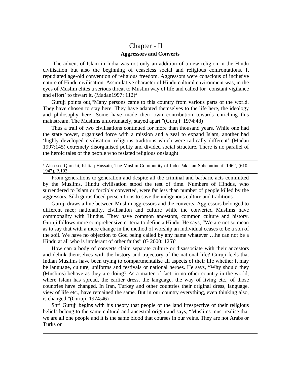#### Chapter - II **Aggressors and Converts**

 The advent of Islam in India was not only an addition of a new religion in the Hindu civilisation but also the beginning of ceaseless social and religious confrontations. It repudiated age-old convention of religious freedom. Aggressors were conscious of inclusive nature of Hindu civilisation. Assimilative character of Hindu cultural environment was, in the eyes of Muslim elites a serious threat to Muslim way of life and called for 'constant vigilance and effort' to thwart it. (Madan1997: 112)4

Guruji points out,"Many persons came to this country from various parts of the world. They have chosen to stay here. They have adapted themselves to the life here, the ideology and philosophy here. Some have made their own contribution towards enriching this mainstream. The Muslims unfortunately, stayed apart."(Guruji: 1974:48)

Thus a trail of two civilisations continued for more than thousand years. While one had the state power, organised force with a mission and a zeal to expand Islam, another had 'highly developed civilisation, religious traditions which were radically different' (Madan 1997:145) extremely disorganised polity and divided social structure. There is no parallel of the heroic tales of the people who resisted religious onslaught

4 Also see Qureshi, Ishtiaq Hussain, The Muslim Community of Indo Pakistan Subcontinent' 1962, (610- 1947), P.103

From generations to generation and despite all the criminal and barbaric acts committed by the Muslims, Hindu civilisation stood the test of time. Numbers of Hindus, who surrendered to Islam or forcibly converted, were far less than number of people killed by the aggressors. Sikh gurus faced persecutions to save the indigenous culture and traditions.

Guruji draws a line between Muslim aggressors and the converts. Aggressors belonged to different race; nationality, civilisation and culture while the converted Muslims have commonality with Hindus. They have common ancestors, common culture and history. Guruji follows more comprehensive criteria to define a Hindu. He says, "We are not so mean as to say that with a mere change in the method of worship an individual ceases to be a son of the soil. We have no objection to God being called by any name whatever …he can not be a Hindu at all who is intolerant of other faiths" (G 2000: 125)<sup>5</sup>

How can a body of converts claim separate culture or disassociate with their ancestors and delink themselves with the history and trajectory of the national life? Guruji feels that Indian Muslims have been trying to compartmentalise all aspects of their life whether it may be language, culture, uniforms and festivals or national heroes. He says, "Why should they (Muslims) behave as they are doing? As a matter of fact, in no other country in the world, where Islam has spread, the earlier dress, the language, the way of living etc., of those countries have changed. In Iran, Turkey and other countries their original dress, language, view of life etc., have remained the same. But in our country everything, even thinking also, is changed."(Guruji, 1974:46)

Shri Guruji begins with his theory that people of the land irrespective of their religious beliefs belong to the same cultural and ancestral origin and says, "Muslims must realise that we are all one people and it is the same blood that courses in our veins. They are not Arabs or Turks or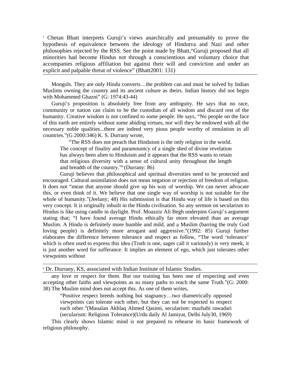<sup>5</sup> Chetan Bhatt interprets Guruji's views anarchically and presumably to prove the hypothesis of equivalence between the ideology of Hindutva and Nazi and other philosophies rejected by the RSS. See the point made by Bhatt,"Guruji proposed that all minorities had become Hindus not through a conscientious and voluntary choice that accompanies religious affiliation but against their will and conviction and under an explicit and palpable threat of violence" (Bhatt2001: 131)

Mongols. They are only Hindu converts…the problem can and must be solved by Indian Muslims owning the country and its ancient culture as theirs. Indian history did not begin with Mohammed Ghazni" (G: 1974:43-44)

Guruji's proposition is absolutely free from any ambiguity. He says that no race, community or nation can claim to be the custodian of all wisdom and discard rest of the humanity. Creative wisdom is not confined to some people. He says, "No people on the face of this earth are entirely without some abiding virtues, nor will they be endowed with all the necessary noble qualities...there are indeed very pious people worthy of emulation in all countries."(G 2000:346) K. S. Durrany wrote,

"The RSS does not preach that Hinduism is the only religion in the world. The concept of finality and paramountcy of a single shed of divine revelation has always been alien to Hinduism and it appears that the RSS wants to retain that religious diversity with a sense of cultural unity throughout the length and breadth of the country."6 (Durrany: 86)

Guruji believes that philosophical and spiritual diversities need to be protected and encouraged. Cultural assimilation does not mean negation or rejection of freedom of religion. It does not "mean that anyone should give up his way of worship. We can never advocate this, or even think of it. We believe that one single way of worship is not suitable for the whole of humanity."(Jeelany; 48) His submission is that Hindu way of life is based on this very concept. It is originally inbuilt in the Hindu civilisation. So any sermon on secularism to Hindus is like using candle in daylight. Prof. Moazziz Ali Begh underpins Guruji's argument stating that; "I have found average Hindu ethically far more elevated than an average Muslim. A Hindu is definitely more humble and mild, and a Muslim (barring the truly God loving people) is definitely more arrogant and aggressive."(1992: 85) Guruji further elaborates the difference between tolerance and respect as follow, "The word 'tolerance' which is often used to express this idea (Truth is one, sages call it variously) is very meek, it is just another word for sufferance. It implies an element of ego, which just tolerates other viewpoints without

"Positive respect breeds nothing but stagnancy…two diametrically opposed viewpoints can tolerate each other, but they can not be expected to respect each other."(Maualan Akhlaq Ahmed Qasimi, secularism: mazhabi rawadari (secularism: Religious Tolerance)(Urdu daily Al Jamiyat, Delhi July30, 1969)

This clearly shows Islamic mind is not prepared to rehearse its basic framework of religious philosophy.

<sup>6</sup> Dr. Durrany, KS, associated with Indian Institute of Islamic Studies.

any love or respect for them. But our training has been one of respecting and even accepting other faiths and viewpoints as so many paths to reach the same Truth."(G: 2000: 38) The Muslim mind does not accept this. As one of them writes,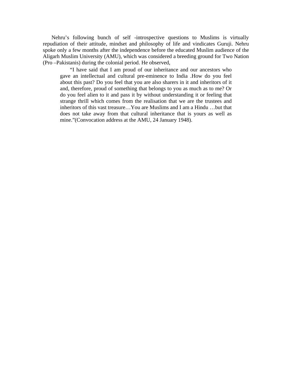Nehru's following bunch of self -introspective questions to Muslims is virtually repudiation of their attitude, mindset and philosophy of life and vindicates Guruji. Nehru spoke only a few months after the independence before the educated Muslim audience of the Aligarh Muslim University (AMU), which was considered a breeding ground for Two Nation (Pro –Pakistanis) during the colonial period. He observed,

 "I have said that I am proud of our inheritance and our ancestors who gave an intellectual and cultural pre-eminence to India .How do you feel about this past? Do you feel that you are also sharers in it and inheritors of it and, therefore, proud of something that belongs to you as much as to me? Or do you feel alien to it and pass it by without understanding it or feeling that strange thrill which comes from the realisation that we are the trustees and inheritors of this vast treasure…You are Muslims and I am a Hindu …but that does not take away from that cultural inheritance that is yours as well as mine."(Convocation address at the AMU, 24 January 1948).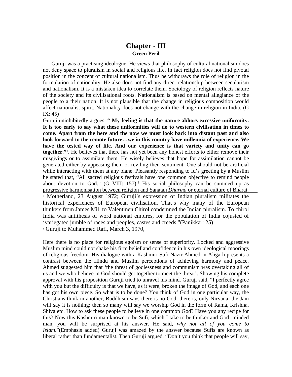#### **Chapter - III Green Peril**

Guruji was a practising ideologue. He views that philosophy of cultural nationalism does not deny space to pluralism in social and religious life. In fact religion does not find pivotal position in the concept of cultural nationalism. Thus he withdraws the role of religion in the formulation of nationality. He also does not find any direct relationship between secularism and nationalism. It is a mistaken idea to correlate them. Sociology of religion reflects nature of the society and its civilisational roots. Nationalism is based on mental allegiance of the people to a their nation. It is not plausible that the change in religious composition would affect nationalist spirit. Nationality does not change with the change in religion in India. (G IX: 45)

Guruji uninhibitedly argues, **" My feeling is that the nature abhors excessive uniformity. It is too early to say what these uniformities will do to western civilisation in times to come. Apart from the here and the now we must look back into distant past and also look forward to the remote future…we in this country have millennia of experience. We have the tested way of life. And our experience is that variety and unity can go together."7** . He believes that there has not yet been any honest efforts to either remove their misgivings or to assimilate them. He wisely believes that hope for assimilation cannot be generated either by appeasing them or reviling their sentiment. One should not be artificial while interacting with them at any plane. Pleasantly responding to Id's greeting by a Muslim he stated that, "All sacred religious festivals have one common objective to remind people about devotion to God." (G VIII: 157).<sup>8</sup> His social philosophy can be summed up as progressive harmonisation between religion and Sanatan *Dharma* or eternal culture of Bharat. 7 Motherland, 23 August 1972; Guruji's expression of Indian pluralism militates the historical experiences of European civilisation. That's why many of the European thinkers from James Mill to Valentinen Chirol condemned the Indian pluralism. To chirol India was antithesis of word national empires, for the population of India cojusted of 'variegated jumble of races and peoples, castes and creeds."(Panikkar: 25) 8 Guruji to Muhammed Rafi, March 3, 1970,

Here there is no place for religious egoism or sense of superiority. Locked and aggressive Muslim mind could not shake his firm belief and confidence in his own ideological moorings of religious freedom. His dialogue with a Kashmiri Sufi Nazir Ahmed in Aligarh presents a contrast between the Hindu and Muslim perceptions of achieving harmony and peace. Ahmed suggested him that 'the threat of godlessness and communism was overtaking all of us and we who believe in God should get together to meet the threat'. Showing his complete approval with his proposition Guruji tried to unravel his mind. Guruji said, "I perfectly agree with you but the difficulty is that we have, as it were, broken the image of God, and each one has got his own piece. So what is to be done? You think of God in one particular way, the Christians think in another, Buddhism says there is no God, there is, only Nirvana; the Jain will say it is nothing; then so many will say we worship God in the form of Rama, Krishna, Shiva etc. How to ask these people to believe in one common God? Have you any recipe for this? Now this Kashmiri man known to be Sufi, which I take to be thinker and God -minded man, you will be surprised at his answer. He said, *why not all of you come to Islam*."(Emphasis added) Guruji was amazed by the answer because Sufis are known as liberal rather than fundamentalist. Then Guruji argued, "Don't you think that people will say,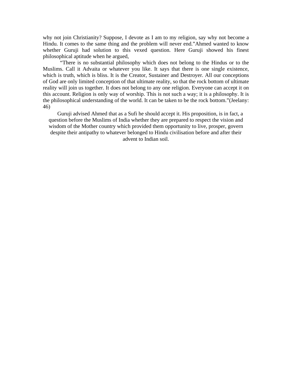why not join Christianity? Suppose, I devote as I am to my religion, say why not become a Hindu. It comes to the same thing and the problem will never end."Ahmed wanted to know whether Guruji had solution to this vexed question. Here Guruji showed his finest philosophical aptitude when he argued,

"There is no substantial philosophy which does not belong to the Hindus or to the Muslims. Call it Advaita or whatever you like. It says that there is one single existence, which is truth, which is bliss. It is the Creator, Sustainer and Destroyer. All our conceptions of God are only limited conception of that ultimate reality, so that the rock bottom of ultimate reality will join us together. It does not belong to any one religion. Everyone can accept it on this account. Religion is only way of worship. This is not such a way; it is a philosophy. It is the philosophical understanding of the world. It can be taken to be the rock bottom."(Jeelany: 46)

Guruji advised Ahmed that as a Sufi he should accept it. His proposition, is in fact, a question before the Muslims of India whether they are prepared to respect the vision and wisdom of the Mother country which provided them opportunity to live, prosper, govern despite their antipathy to whatever belonged to Hindu civilisation before and after their advent to Indian soil.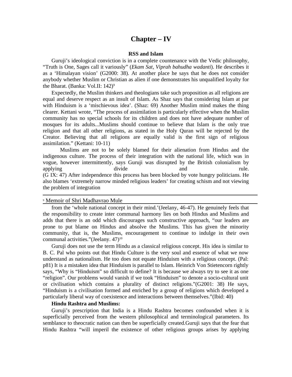#### **Chapter – IV**

#### **RSS and Islam**

Guruji's ideological conviction is in a complete countenance with the Vedic philosophy, "Truth is One, Sages call it variously" (*Ekam Sat, Viprah bahudha wadanti*). He describes it as a 'Himalayan vision' (G2000: 38). At another place he says that he does not consider anybody whether Muslim or Christian as alien if one demonstrates his unqualified loyalty for the Bharat. (Banka: Vol.II: 142)<sup>9</sup>

Expectedly, the Muslim thinkers and theologians take such proposition as all religions are equal and deserve respect as an insult of Islam. As Shaz says that considering Islam at par with Hinduism is a 'mischievous idea'. (Shaz: 69) Another Muslim mind makes the thing clearer. Kettani wrote, "The process of assimilation is particularly effective when the Muslim community has no special schools for its children and does not have adequate number of mosques for its adults...Muslims should continue to believe that Islam is the only true religion and that all other religions, as stated in the Holy Quran will be rejected by the Creator. Believing that all religions are equally valid is the first sign of religious assimilation." (Kettani: 10-11)

Muslims are not to be solely blamed for their alienation from Hindus and the indigenous culture. The process of their integration with the national life, which was in vogue, however intermittently, says Guruji was disrupted by the British colonialism by applying divide and rule. (G IX: 47) After independence this process has been blocked by vote hungry politicians. He also blames 'extremely narrow minded religious leaders' for creating schism and not viewing the problem of integration

#### 9 Memoir of Shri Madhavrao Mule

from the 'whole national concept in their mind.'(Jeelany, 46-47). He genuinely feels that the responsibility to create inter communal harmony lies on both Hindus and Muslims and adds that there is an odd which discourages such constructive approach, "our leaders are prone to put blame on Hindus and absolve the Muslims. This has given the minority community, that is, the Muslims, encouragement to continue to indulge in their own communal activities."(Jeelany. 47)<sup>10</sup>

Guruji does not use the term Hindu as a classical religious concept. His idea is similar to B. C. Pal who points out that Hindu Culture is the very soul and essence of what we now understand as nationalism. He too does not equate Hinduism with a religious concept. (Pal: p81) It is a mistaken idea that Hinduism is parallel to Islam. Heinrich Von Stietencorn rightly says, "Why is "Hinduism" so difficult to define? It is because we always try to see it as one "religion". Our problems would vanish if we took "Hinduism" to denote a socio-cultural unit or civilisation which contains a plurality of distinct religions."(G2001: 38) He says, "Hinduism is a civilisation formed and enriched by a group of religions which developed a particularly liberal way of coexistence and interactions between themselves."(Ibid: 40)

#### **Hindu Rashtra and Muslims:**

Guruji's prescription that India is a Hindu Rashtra becomes confounded when it is superficially perceived from the western philosophical and terminological parameters. Its semblance to theocratic nation can then be superficially created.Guruji says that the fear that Hindu Rashtra "will imperil the existence of other religious groups arises by applying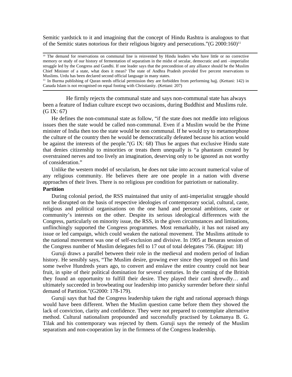Semitic yardstick to it and imagining that the concept of Hindu Rashtra is analogous to that of the Semitic states notorious for their religious bigotry and persecutions." $(G 2000:160)^{11}$ 

10 The demand for reservations on communal line is reinvented by Hindu leaders who have little or no corrective memory or study of our history of fermentation of separatism in the midst of secular, democratic and anti –imperialist struggle led by the Congress and Gandhi. If one leader says that the precondition of any alliance should be the Muslim Chief Minister of a state, what does it mean? The state of Andhra Pradesh provided five percent reservations to

<sup>11</sup> In Burma publishing of Quran needs official permission they are forbidden from performing hajj. (Kettani: 142) in Canada Islam is not recognised on equal footing with Christianity. (Kettani: 207)

 He firmly rejects the communal state and says non-communal state has always been a feature of Indian culture except two occasions, during Buddhist and Muslims rule. (G IX: 67)

He defines the non-communal state as follow, "if the state does not meddle into religious issues then the state would be called non-communal. Even if a Muslim would be the Prime minister of India then too the state would be non communal. If he would try to metamorphose the culture of the country then he would be democratically defeated because his action would be against the interests of the people."(G IX: 68) Thus he argues that exclusive Hindu state that denies citizenship to minorities or treats them unequally is "a phantasm created by overstrained nerves and too lively an imagination, deserving only to be ignored as not worthy of consideration."

Unlike the western model of secularism, he does not take into account numerical value of any religious community. He believes there are one people in a nation with diverse approaches of their lives. There is no religious pre condition for patriotism or nationality. **Partition** 

During colonial period, the RSS maintained that unity of anti-imperialist struggle should not be disrupted on the basis of respective ideologies of contemporary social, cultural, caste, religious and political organisations on the one hand and personal ambitions, caste or community's interests on the other. Despite its serious ideological differences with the Congress, particularly on minority issue, the RSS, in the given circumstances and limitations, unflinchingly supported the Congress programmes. Most remarkably, it has not raised any issue or led campaign, which could weaken the national movement. The Muslims attitude to the national movement was one of self-exclusion and divisive. In 1905 at Benaras session of the Congress number of Muslim delegates fell to 17 out of total delegates 756. (Rajput: 18)

Guruji draws a parallel between their role in the medieval and modern period of Indian history. He sensibly says, "The Muslim desire, growing ever since they stepped on this land some twelve Hundreds years ago, to convert and enslave the entire country could not bear fruit, in spite of their political domination for several centuries. In the coming of the British they found an opportunity to fulfill their desire. They played their card shrewdly… and ultimately succeeded in browbeating our leadership into panicky surrender before their sinful demand of Partition."(G2000: 178-179).

Guruji says that had the Congress leadership taken the right and rational approach things would have been different. When the Muslim question came before them they showed the lack of conviction, clarity and confidence. They were not prepared to contemplate alternative method. Cultural nationalism propounded and successfully practised by Lokmanya B. G. Tilak and his contemporary was rejected by them. Guruji says the remedy of the Muslim separatism and non-cooperation lay in the firmness of the Congress leadership.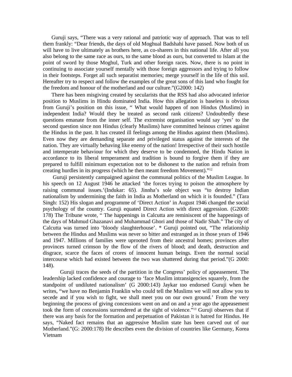Guruji says, "There was a very rational and patriotic way of approach. That was to tell them frankly: "Dear friends, the days of old Moghual Badshahi have passed. Now both of us will have to live ultimately as brothers here, as co-sharers in this national life. After all you also belong to the same race as ours, to the same blood as ours, but converted to Islam at the point of sword by those Moghul, Turk and other foreign races. Now, there is no point in continuing to associate yourself mentally with those foreign aggressors and trying to follow in their footsteps. Forget all such separatist memories; merge yourself in the life of this soil. Hereafter try to respect and follow the examples of the great sons of this land who fought for the freedom and honour of the motherland and our culture."(G2000: 142)

There has been misgiving created by secularists that the RSS had also advocated inferior position to Muslims in Hindu dominated India. How this allegation is baseless is obvious from Guruji's position on this issue, " What would happen of non Hindus (Muslims) in independent India? Would they be treated as second rank citizens? Undoubtedly these questions emanate from the inner self. The extremist organisation would say 'yes' to the second question since non Hindus (clearly Muslims) have committed heinous crimes against the Hindus in the past. It has created ill feelings among the Hindus against them (Muslims). Even now they are demanding separate and privileged status against the interests of the nation. They are virtually behaving like enemy of the nation! Irrespective of their such hostile and intemperate behaviour for which they deserve to be condemned, the Hindu Nation in accordance to its liberal temperament and tradition is bound to forgive them if they are prepared to fulfill minimum expectation not to be dishonest to the nation and refrain from creating hurdles in its progress (which he then meant freedom Movement)."12

 Guruji persistently campaigned against the communal politics of the Muslim League. In his speech on 12 August 1946 he attacked 'the forces trying to poison the atmosphere by raising communal issues.'(Indukar: 65). Jinnha's sole object was "to destroy Indian nationalism by undermining the faith in India as Motherland on which it is founded." (Tara Singh: 152) His slogan and programme of 'Direct Action' in August 1946 changed the social psychology of the country. Guruji equated Direct Action with direct aggression. (G2000: 178) The Tribune wrote, " The happenings in Calcutta are reminiscent of the happenings of the days of Mahmud Ghazanavi and Muhammad Ghori and those of Nadir Shah." The city of Calcutta was turned into 'bloody slaughterhouse'. \* Guruji pointed out, "The relationship between the Hindus and Muslims was never so bitter and estranged as in those years of 1946 and 1947. Millions of families were uprooted from their ancestral homes; provinces after provinces turned crimson by the flow of the rivers of blood; and death, destruction and disgrace, scarce the faces of crores of innocent human beings. Even the normal social intercourse which had existed between the two was shattered during that period."(G 2000: 148).

 Guruji traces the seeds of the partition in the Congress' policy of appeasement. The leadership lacked confidence and courage to 'face Muslim intransigencies squarely, from the standpoint of undiluted nationalism' (G 2000:143) Jaykar too endorsed Guruji when he writes, "we have no Benjamin Franklin who could tell the Muslims we will not allow you to secede and if you wish to fight, we shall meet you on our own ground.' From the very beginning the process of giving concessions went on and on and a year ago the appeasement took the form of concessions surrendered at the sight of violence."13 Guruji observes that if there was any basis for the formation and perpetuation of Pakistan it is hatred for Hindus. He says, "Naked fact remains that an aggressive Muslim state has been carved out of our Motherland."(G: 2000:178) He describes even the division of countries like Germany, Korea Vietnam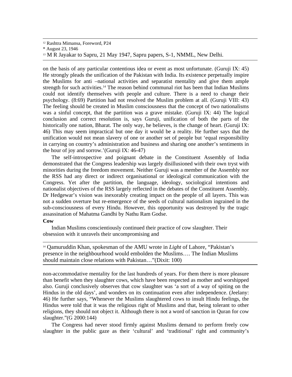#### 12 Rashtra Mimansa, Foreword, P24 \* August 23, 1946 <sup>13</sup> M R Jayakar to Sapru, 21 May 1947, Sapru papers, S-1, NMML, New Delhi.

on the basis of any particular contentious idea or event as most unfortunate. (Guruji IX: 45) He strongly pleads the unification of the Pakistan with India. Its existence perpetually inspire the Muslims for anti –national activities and separatist mentality and give them ample strength for such activities.<sup>14</sup> The reason behind communal riot has been that Indian Muslims could not identify themselves with people and culture. There is a need to change their psychology. (8:69) Partition had not resolved the Muslim problem at all. (Guruji VIII: 43) The feeling should be created in Muslim consciousness that the concept of two nationalisms was a sinful concept, that the partition was a grave mistake. (Guruji IX: 44) The logical conclusion and correct resolution is, says Guruji, unification of both the parts of the historically one nation, Bharat. The only way, he believes, is the change of heart. (Guruji IX: 46) This may seem impractical but one day it would be a reality. He further says that the unification would not mean slavery of one or another set of people but 'equal responsibility in carrying on country's administration and business and sharing one another's sentiments in the hour of joy and sorrow.'(Guruji IX: 46-47)

The self-introspective and poignant debate in the Constituent Assembly of India demonstrated that the Congress leadership was largely disillusioned with their own tryst with minorities during the freedom movement. Neither Guruji was a member of the Assembly nor the RSS had any direct or indirect organisational or ideological communication with the Congress. Yet after the partition, the language, ideology, sociological intentions and nationalist objectives of the RSS largely reflected in the debates of the Constituent Assembly. Dr Hedgewar's vision was inexorably creating impact on the people of all layers. This was not a sudden overture but re-emergence of the seeds of cultural nationalism ingrained in the sub-consciousness of every Hindu. However, this opportunity was destroyed by the tragic assassination of Mahatma Gandhi by Nathu Ram Godse.

#### **Cow**

Indian Muslims conscientiously continued their practice of cow slaughter. Their obsession with it unravels their uncompromising and

14 Qamuruddin Khan, spokesman of the AMU wrote in *Light* of Lahore, "Pakistan's presence in the neighbourhood would embolden the Muslims…. The Indian Muslims should maintain close relations with Pakistan…"(Dixit: 100)

non-accommodative mentality for the last hundreds of years. For them there is more pleasure than benefit when they slaughter cows, which have been respected as mother and worshipped also. Guruji conclusively observes that cow slaughter was 'a sort of a way of spiting on the Hindus in the old days', and wonders on its continuation even after independence. (Jeelany: 46) He further says, "Whenever the Muslims slaughtered cows to insult Hindu feelings, the Hindus were told that it was the religious right of Muslims and that, being tolerant to other religions, they should not object it. Although there is not a word of sanction in Quran for cow slaughter."(G 2000:144)

The Congress had never stood firmly against Muslims demand to perform freely cow slaughter in the public gaze as their 'cultural' and 'traditional' right and community's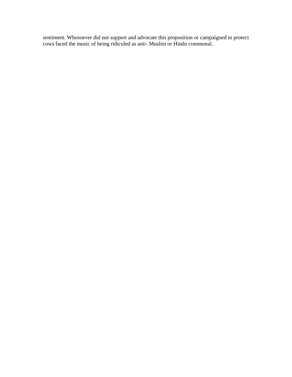sentiment. Whosoever did not support and advocate this proposition or campaigned to protect cows faced the music of being ridiculed as anti- Muslim or Hindu communal.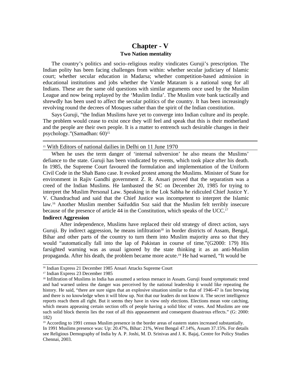#### **Chapter - V Two Nation mentality**

The country's politics and socio–religious reality vindicates Guruji's prescription. The Indian polity has been facing challenges from within: whether secular judiciary of Islamic court; whether secular education in Madarsa; whether competition-based admission in educational institutions and jobs whether the Vande Mataram is a national song for all Indians. These are the same old questions with similar arguments once used by the Muslim League and now being replayed by the 'Muslim India'. The Muslim vote bank tactically and shrewdly has been used to affect the secular politics of the country. It has been increasingly revolving round the decrees of Mosques rather than the spirit of the Indian constitution.

Says Guruji, "the Indian Muslims have yet to converge into Indian culture and its people. The problem would cease to exist once they will feel and speak that this is their motherland and the people are their own people. It is a matter to entrench such desirable changes in their psychology."(Samadhan: 60)<sup>15</sup>

<sup>15</sup> With Editors of national dailies in Delhi on 11 June 1970

When he uses the term danger of 'internal subversion' he also means the Muslims' defiance to the state. Guruji has been vindicated by events, which took place after his death. In 1985, the Supreme Court favoured the formulation and implementation of the Uniform Civil Code in the Shah Bano case. It evoked protest among the Muslims. Minister of State for environment in Rajiv Gandhi government Z. R. Ansari proved that the separatism was a creed of the Indian Muslims. He lambasted the SC on December 20, 1985 for trying to interpret the Muslim Personal Law. Speaking in the Lok Sabha he ridiculed Chief Justice Y. V. Chandrachud and said that the Chief Justice was incompetent to interpret the Islamic law.16 Another Muslim member Saifuddin Soz said that the Muslim felt terribly insecure because of the presence of article 44 in the Constitution, which speaks of the UCC.<sup>17</sup>

#### **Indirect Aggression**

After independence, Muslims have replaced their old strategy of direct action, says Guruji. By indirect aggression, he means infiltration<sup>18</sup> in border districts of Assam, Bengal, Bihar and other parts of the country to turn them into Muslim majority area so that they would "automatically fall into the lap of Pakistan in course of time."(G2000: 179) His farsighted warning was as usual ignored by the state thinking it as an anti-Muslim propaganda. After his death, the problem became more acute.19 He had warned, "It would be

<sup>16</sup> Indian Express 21 December 1985 Ansari Attacks Supreme Court

<sup>17</sup> Indian Express 23 December 1985

<sup>18</sup> Infiltration of Muslims in India has assumed a serious menace in Assam. Guruji found symptomatic trend and had warned unless the danger was perceived by the national leadership it would like repeating the history. He said, "there are sure signs that an explosive situation similar to that of 1946-47 is fast brewing and there is no knowledge when it will blow up. Not that our leaders do not know it. The secret intelligence reports reach them all right. But it seems they have in view only elections. Elections mean vote catching, which means appeasing certain section offs of people having a solid bloc of votes. And Muslims are one such solid block therein lies the root of all this appeasement and consequent disastrous effects." (G: 2000: 182)

<sup>&</sup>lt;sup>19</sup> According to 1991 census Muslim presence in the border areas of eastern states increased substantially. In 1991 Muslims presence was: Up: 20.47%, Bihar: 21%, West Bengal 47.14%, Assam 37.15%. For details see Religious Demography of India by A. P. Joshi, M. D. Srinivas and J. K. Bajaj, Centre for Policy Studies Chennai, 2003.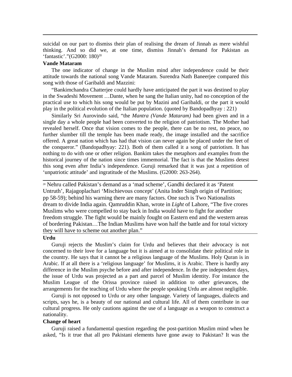suicidal on our part to dismiss their plan of realising the dream of Jinnah as mere wishful thinking. And so did we, at one time, dismiss Jinnah's demand for Pakistan as 'fantastic'."(G2000: 180)20

#### **Vande Mataram**

The one indicator of change in the Muslim mind after independence could be their attitude towards the national song Vande Mataram. Surendra Nath Baneerjee compared this song with those of Garibaldi and Mazzini:

"Bankimchandra Chatterjee could hardly have anticipated the part it was destined to play in the Swadeshi Movement …Dante, when he sang the Italian unity, had no conception of the practical use to which his song would be put by Mazini and Garibaldi, or the part it would play in the political evolution of the Italian population. (quoted by Bandopadhyay : 221)

Similarly Sri Aurovindo said, "the *Mantra (Vande Mataram)* had been given and in a single day a whole people had been converted to the religion of patriotism. The Mother had revealed herself. Once that vision comes to the people, there can be no rest, no peace, no further slumber till the temple has been made ready, the image installed and the sacrifice offered. A great nation which has had that vision can never again be placed under the feet of the conqueror." (Bandopadhyay: 221). Both of them called it a song of patriotism. It has nothing to do with one or other religion. Bankim takes the metaphors and examples from the historical journey of the nation since times immemorial. The fact is that the Muslims detest this song even after India's independence. Guruji remarked that it was just a repetition of 'unpatriotic attitude' and ingratitude of the Muslims. (G2000: 263-264).

20 Nehru called Pakistan's demand as a 'mad scheme', Gandhi declared it as 'Patent Untruth', Rajagoplachari 'Mischievous concept' (Anita Inder Singh origin of Partition; pp 58-59); behind his warning there are many factors. One such is Two Nationalists dream to divide India again. Qamruddin Khan, wrote in *Light* of Lahore, "The five crores Muslims who were compelled to stay back in India would have to fight for another freedom struggle. The fight would be mainly fought on Eastern end and the western areas of bordering Pakistan…The Indian Muslims have won half the battle and for total victory they will have to scheme out another plan."

#### **Urdu**

Guruji rejects the Muslim's claim for Urdu and believes that their advocacy is not concerned to their love for a language but it is aimed at to consolidate their political role in the country. He says that it cannot be a religious language of the Muslims. Holy Quran is in Arabic. If at all there is a 'religious language' for Muslims, it is Arabic. There is hardly any difference in the Muslim psyche before and after independence. In the pre independent days, the issue of Urdu was projected as a part and parcel of Muslim identity. For instance the Muslim League of the Orissa province raised in addition to other grievances, the arrangements for the teaching of Urdu where the people speaking Urdu are almost negligible.

Guruji is not opposed to Urdu or any other language. Variety of languages, dialects and scripts, says he, is a beauty of our national and cultural life. All of them contribute in our cultural progress. He only cautions against the use of a language as a weapon to construct a nationality.

#### **Change of heart**

Guruji raised a fundamental question regarding the post-partition Muslim mind when he asked, "Is it true that all pro Pakistani elements have gone away to Pakistan? It was the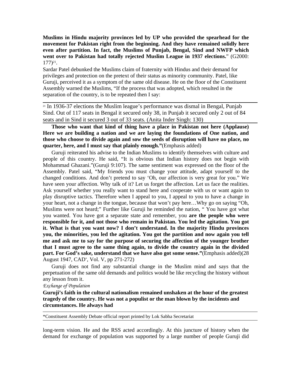**Muslims in Hindu majority provinces led by UP who provided the spearhead for the movement for Pakistan right from the beginning. And they have remained solidly here even after partition. In fact, the Muslims of Punjab, Bengal, Sind and NWFP which went over to Pakistan had totally rejected Muslim League in 1937 elections.**" (G2000: 177)21.

Sardar Patel debunked the Muslims claim of fraternity with Hindus and their demand for privileges and protection on the pretext of their status as minority community. Patel, like Guruji, perceived it as a symptom of the same old disease. He on the floor of the Constituent Assembly warned the Muslims, "If the process that was adopted, which resulted in the separation of the country, is to be repeated then I say:

21 In 1936-37 elections the Muslim league's performance was dismal in Bengal, Punjab Sind. Out of 117 seats in Bengal it secured only 38, in Punjab it secured only 2 out of 84 seats and in Sind it secured 3 out of 33 seats. (Anita Inder Singh: 130)

**Those who want that kind of thing have a place in Pakistan not here (Applause) Here we are building a nation and we are laying the foundations of One nation, and those who choose to divide again and sow the seeds of disruption will have no place, no quarter, here, and I must say that plainly enough."**(Emphasis added)

Guruji reiterated his advise to the Indian Muslims to identify themselves with culture and people of this country. He said, "It is obvious that Indian history does not begin with Mohammad Ghazani."(Guruji 9:107). The same sentiment was expressed on the floor of the Assembly. Patel said, "My friends you must change your attitude, adapt yourself to the changed conditions. And don't pretend to say 'Oh, our affection is very great for you." We have seen your affection. Why talk of it? Let us forget the affection. Let us face the realities. Ask yourself whether you really want to stand here and cooperate with us or want again to play disruptive tactics. Therefore when I appeal to you, I appeal to you to have a change in your heart, not a change in the tongue, because that won't pay here…Why go on saying "Oh, Muslims were not heard;" Further like Guruji he reminded the nation, " You have got what you wanted. You have got a separate state and remember, you **are the people who were responsible for it, and not those who remain in Pakistan. You led the agitation. You got it. What is that you want now? I don't understand. In the majority Hindu provinces you, the minorities, you led the agitation. You got the partition and now again you tell me and ask me to say for the purpose of securing the affection of the younger brother that I must agree to the same thing again, to divide the country again in the divided part. For God's sake, understand that we have also got some sense."**(Emphasis added)(28 August 1947, CAD\* , Vol. V, pp 271-272)

Guruji does not find any substantial change in the Muslim mind and says that the perpetuation of the same old demands and politics would be like recycling the history without any lesson from it.

#### *Exchange of Population*

**Guruji's faith in the cultural nationalism remained unshaken at the hour of the greatest tragedy of the country. He was not a populist or the man blown by the incidents and circumstances. He always had**

\*Constituent Assembly Debate official report printed by Lok Sabha Secretariat

long-term vision. He and the RSS acted accordingly. At this juncture of history when the demand for exchange of population was supported by a large number of people Guruji did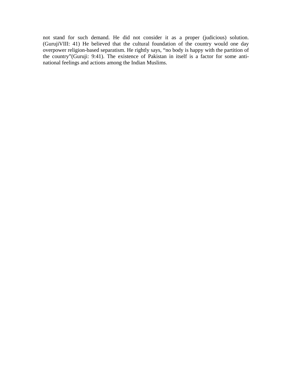not stand for such demand. He did not consider it as a proper (judicious) solution. (GurujiVIII: 41) He believed that the cultural foundation of the country would one day overpower religion-based separatism. He rightly says, "no body is happy with the partition of the country"(Guruji: 9:41). The existence of Pakistan in itself is a factor for some antinational feelings and actions among the Indian Muslims.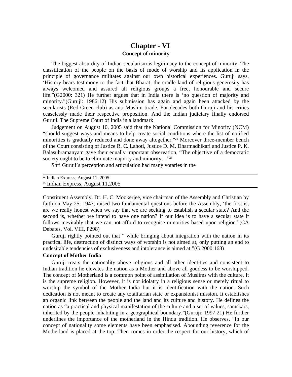#### **Chapter - VI Concept of minority**

The biggest absurdity of Indian secularism is legitimacy to the concept of minority. The classification of the people on the basis of mode of worship and its application in the principle of governance militates against our own historical experiences. Guruji says, 'History bears testimony to the fact that Bharat, the cradle land of religious generosity has always welcomed and assured all religious groups a free, honourable and secure life."(G2000: 321) He further argues that in India there is 'no question of majority and minority."(Guruji: 1986:12) His submission has again and again been attacked by the secularists (Red-Green club) as anti Muslim tirade. For decades both Guruji and his critics ceaselessly made their respective proposition. And the Indian judiciary finally endorsed Guruji. The Supreme Court of India in a landmark

Judgement on August 10, 2005 said that the National Commission for Minority (NCM) "should suggest ways and means to help create social conditions where the list of notified minorities is gradually reduced and done away altogether."<sup>22</sup> Moreover three-member bench of the Court consisting of Justice R. C. Lahoti, Justice D. M. Dharmadhikari and Justice P. K. Balasubramanyam gave their equally important observation, "The objective of a democratic society ought to be to eliminate majority and minority..."<sup>23</sup>

Shri Guruji's perception and articulation had many votaries in the

```
22 Indian Express, August 11, 2005 
23 Indian Express, August 11,2005
```
Constituent Assembly. Dr. H. C. Mookerjee, vice chairman of the Assembly and Christian by faith on May 25, 1947, raised two fundamental questions before the Assembly, 'the first is, are we really honest when we say that we are seeking to establish a secular state? And the second is, whether we intend to have one nation? If our idea is to have a secular state it follows inevitably that we can not afford to recognise minorities based upon religion."(CA Debates, Vol. VIII, P298)

Guruji rightly pointed out that " while bringing about integration with the nation in its practical life, destruction of distinct ways of worship is not aimed at, only putting an end to undesirable tendencies of exclusiveness and intolerance is aimed at;"(G 2000:168)

#### **Concept of Mother India**

Guruji treats the nationality above religious and all other identities and consistent to Indian tradition he elevates the nation as a Mother and above all goddess to be worshipped. The concept of Motherland is a common point of assimilation of Muslims with the culture. It is the supreme religion. However, it is not idolatry in a religious sense or merely ritual to worship the symbol of the Mother India but it is identification with the nation. Such dedication is not meant to create any totalitarian state or expansionist mission. It establishes an organic link between the people and the land and its culture and history. He defines the nation as "a practical and physical manifestation of the culture and a set of values, samskars, inherited by the people inhabiting in a geographical boundary."(Guruji: 1997:21) He further underlines the importance of the motherland in the Hindu tradition. He observes, "In our concept of nationality some elements have been emphasised. Abounding reverence for the Motherland is placed at the top. Then comes in order the respect for our history, which of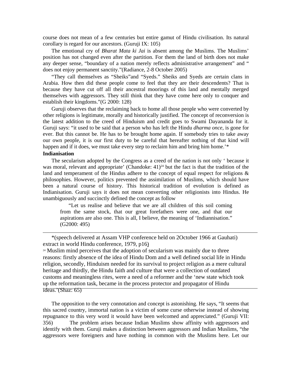course does not mean of a few centuries but entire gamut of Hindu civilisation. Its natural corollary is regard for our ancestors. (Guruji IX: 105)

The emotional cry of *Bharat Mata ki Jai* is absent among the Muslims. The Muslims' position has not changed even after the partition. For them the land of birth does not make any deeper sense, "boundary of a nation merely reflects administrative arrangement" and " does not enjoy permanent sanctity."(Radiance, 2-8 October 2005)

"They call themselves as "Sheiks"and "Syeds." Sheiks and Syeds are certain clans in Arabia. How then did these people come to feel that they are their descendents? That is because they have cut off all their ancestral moorings of this land and mentally merged themselves with aggressors. They still think that they have come here only to conquer and establish their kingdoms."(G 2000: 128)

Guruji observes that the reclaiming back to home all those people who were converted by other religions is legitimate, morally and historically justified. The concept of reconversion is the latest addition to the creed of Hinduism and credit goes to Swami Dayananda for it. Guruji says: "it used to be said that a person who has left the Hindu *dharma once*, is gone for ever. But this cannot be. He has to be brought home again. If somebody tries to take away our own people, it is our first duty to be careful that hereafter nothing of that kind will happen and if it does, we must take every step to reclaim him and bring him home.'\*

#### **Indianisation**

The secularism adopted by the Congress as a creed of the nation is not only ' because it was moral, relevant and appropriate' (Chandoke:  $41$ )<sup>24</sup> but the fact is that the tradition of the land and temperament of the Hindus adhere to the concept of equal respect for religions  $\&$ philosophies. However, politics prevented the assimilation of Muslims, which should have been a natural course of history. This historical tradition of evolution is defined as Indianisation. Guruji says it does not mean converting other religionists into Hindus. He unambiguously and succinctly defined the concept as follow

"Let us realise and believe that we are all children of this soil coming from the same stock, that our great forefathers were one, and that our aspirations are also one. This is all, I believe, the meaning of 'Indiannisation." (G2000: 495)

\*(speech delivered at Assam VHP conference held on 2October 1966 at Gauhati) extract in world Hindu conference, 1979, p16)

<sup>24</sup> Muslim mind perceives that the adoption of secularism was mainly due to three reasons: firstly absence of the idea of Hindu Dom and a well defined social life in Hindu religion, secondly, Hinduism needed for its survival to project religion as a mere cultural heritage and thirdly, the Hindu faith and culture that were a collection of outdated customs and meaningless rites, were a need of a reformer and the 'new state which took up the reformation task, became in the process protector and propagator of Hindu ideas.'(Shaz: 65)

The opposition to the very connotation and concept is astonishing. He says, "It seems that this sacred country, immortal nation is a victim of some curse otherwise instead of showing repugnance to this very word it would have been welcomed and appreciated." (Guruji VII: 356) The problem arises because Indian Muslims show affinity with aggressors and identify with them. Guruji makes a distinction between aggressors and Indian Muslims, "the aggressors were foreigners and have nothing in common with the Muslims here. Let our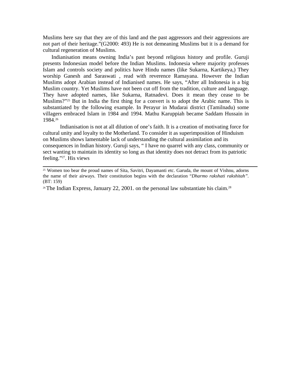Muslims here say that they are of this land and the past aggressors and their aggressions are not part of their heritage."(G2000: 493) He is not demeaning Muslims but it is a demand for cultural regeneration of Muslims.

Indianisation means owning India's past beyond religious history and profile. Guruji presents Indonesian model before the Indian Muslims. Indonesia where majority professes Islam and controls society and politics have Hindu names (like Sukarna, Kartikeya,) They worship Ganesh and Saraswati , read with reverence Ramayana. However the Indian Muslims adopt Arabian instead of Indianised names. He says, "After all Indonesia is a big Muslim country. Yet Muslims have not been cut off from the tradition, culture and language. They have adopted names, like Sukarna, Ratnadevi. Does it mean they cease to be Muslims?"25 But in India the first thing for a convert is to adopt the Arabic name. This is substantiated by the following example. In Perayur in Mudarai district (Tamilnadu) some villagers embraced Islam in 1984 and 1994. Mathu Karuppiah became Saddam Hussain in 1984.26

Indianisation is not at all dilution of one's faith. It is a creation of motivating force for cultural unity and loyalty to the Motherland. To consider it as superimposition of Hinduism on Muslims shows lamentable lack of understanding the cultural assimilation and its consequences in Indian history. Guruji says, " I have no quarrel with any class, community or sect wanting to maintain its identity so long as that identity does not detract from its patriotic feeling."27. His views

<sup>&</sup>lt;sup>25</sup> Women too bear the proud names of Sita, Savitri, Dayamanti etc. Garuda, the mount of Vishnu, adorns the name of their airways. Their constitution begins with the declaration "*Dharmo rakshati rakshitah".* (BT: 159)

 $26$  The Indian Express, January 22, 2001. on the personal law substantiate his claim.<sup>28</sup>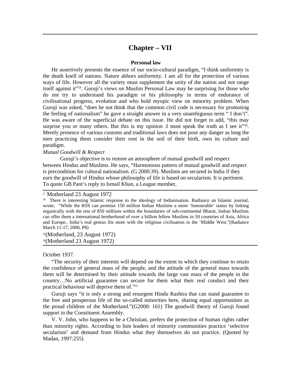#### **Chapter – VII**

#### **Personal law**

He assertively presents the essence of our socio-cultural paradigm, "I think uniformity is the death knell of nations. Nature abhors uniformity. I am all for the protection of various ways of life. However all the variety must supplement the unity of the nation and not range itself against it"29. Guruji's views on Muslim Personal Law may be surprising for those who do not try to understand his paradigm or his philosophy in terms of endurance of civilisational progress, evolution and who hold myopic view on minority problem. When Guruji was asked, "does he not think that the common civil code is necessary for promoting the feeling of nationalism" he gave a straight answer in a very unambiguous term " I don't". He was aware of the superficial debate on this issue. He did not forget to add, "this may surprise you or many others. But this is my opinion .I must speak the truth as I see it"<sup>30</sup>. Merely presence of various customs and traditional laws does not pose any danger as long the men practicing them consider their root in the soil of their birth, own its culture and paradigm.

#### *Mutual Goodwill & Respect*

Guruji's objective is to restore an atmosphere of mutual goodwill and respect between Hindus and Muslims. He says, "Harmonious pattern of mutual goodwill and respect is precondition for cultural nationalism. (G 2000:39). Muslims are secured in India if they earn the goodwill of Hindus whose philosophy of life is based on secularism. It is pertinent. To quote GB Pant's reply to Ismail Khan, a League member,

29(Motherland, 23 August 1972) 30(Motherland 23 August 1972)

#### October 1937.

"The security of their interests will depend on the extent to which they continue to retain the confidence of general mass of the people, and the attitude of the general mass towards them will be determined by their attitude towards the large vast mass of the people in the country…No artificial guarantee can secure for them what their real conduct and their practical behaviour will deprive them of."31

Guruji says "it is only a strong and resurgent Hindu Rashtra that can stand guarantee to the free and prosperous life of the so-called minorities here, sharing equal opportunities as the proud children of the Motherland."(G2000: 161) The goodwill theory of Guruji found support in the Constituent Assembly.

V. V. John, who happens to be a Christian, prefers the protection of human rights rather than minority rights. According to him leaders of minority communities practice 'selective secularism' and demand from Hindus what they themselves do not practice. (Quoted by Madan, 1997:255)

<sup>27</sup> Motherland 23 August 1972

<sup>&</sup>lt;sup>28</sup> There is interesting Islamic response to the ideology of Indianisation. Radiance an Islamic journal, wrote, "While the RSS can promise 150 million Indian Muslims a more 'honourable' status by linking organically with the rest of 850 millions within the boundaries of sub-continental Bharat, Indian Muslims can offer them a international brotherhood of over a billion fellow Muslims in 50 countries of Asia, Africa and Europe.. India's real genius fits more with the religious civilisation in the 'Middle West."(Radiance March 11-17, 2000, P8)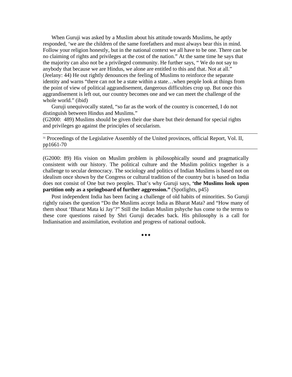When Guruji was asked by a Muslim about his attitude towards Muslims, he aptly responded, 'we are the children of the same forefathers and must always bear this in mind. Follow your religion honestly, but in the national context we all have to be one. There can be no claiming of rights and privileges at the cost of the nation." At the same time he says that the majority can also not be a privileged community. He further says, " We do not say to anybody that because we are Hindus, we alone are entitled to this and that. Not at all." (Jeelany: 44) He out rightly denounces the feeling of Muslims to reinforce the separate identity and warns "there can not be a state within a state…when people look at things from the point of view of political aggrandisement, dangerous difficulties crop up. But once this aggrandisement is left out, our country becomes one and we can meet the challenge of the whole world." (ibid)

Guruji unequivocally stated, "so far as the work of the country is concerned, I do not distinguish between Hindus and Muslims."

(G2000: 489) Muslims should be given their due share but their demand for special rights and privileges go against the principles of secularism.

31 Proceedings of the Legislative Assembly of the United provinces, official Report, Vol. II, pp1661-70

(G2000: 89) His vision on Muslim problem is philosophically sound and pragmatically consistent with our history. The political culture and the Muslim politics together is a challenge to secular democracy. The sociology and politics of Indian Muslims is based not on idealism once shown by the Congress or cultural tradition of the country but is based on India does not consist of One but two peoples. That's why Guruji says, **'the Muslims look upon partition only as a springboard of further aggression."** (Spotlights, p45)

Post independent India has been facing a challenge of old habits of minorities. So Guruji rightly raises the question "Do the Muslims accept India as Bharat Mata? and "How many of them shout 'Bharat Mata ki Jay'?" Still the Indian Muslim pshyche has come to the terms to these core questions raised by Shri Guruji decades back. His philosophy is a call for Indianisation and assimilation, evolution and progress of national outlook.

 $\leftrightarrow$   $\leftrightarrow$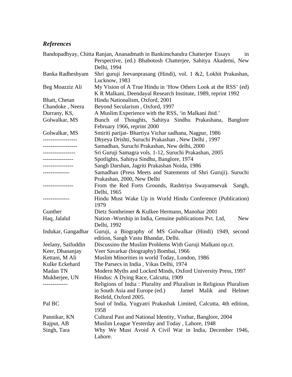### *References*

|                    | Bandopadhyay, Chitta Ranjan, Ananadmath in Bankimchandra Chatterjee Essays<br>in |
|--------------------|----------------------------------------------------------------------------------|
|                    | Perspective, (ed.) Bhabotosh Chatterjee, Sahitya Akademi, New                    |
|                    | Delhi, 1994                                                                      |
| Banka Radheshyam   | Shri guruji Jeevanprasang (Hindi), vol. 1 & 2, Lokhit Prakashan,                 |
|                    | Lucknow, 1983                                                                    |
| Beg Moazziz Ali    | My Vision of A True Hindu in 'How Others Look at the RSS' (ed)                   |
|                    | K R Malkani, Deendayal Research Institute, 1989, reprint 1992                    |
| Bhatt, Chetan      | Hindu Nationalism, Oxford, 2001                                                  |
| Chandoke, Neera    | Beyond Secularism, Oxford, 1997                                                  |
| Durrany, KS,       | A Muslim Experience with the RSS, 'in Malkani ibid.'                             |
| Golwalkar, MS      | Bunch of Thoughts, Sahitya Sindhu Prakashana, Banglore                           |
|                    | February 1966, reprint 2000                                                      |
| Golwalkar, MS      | Smiriti parijat- Bhartiya Vichar sadhana, Nagpur, 1986                           |
| -----------------  | Dhyeya Drishti, Suruchi Prakashan, New Delhi, 1997                               |
| ------------------ | Samadhan, Suruchi Prakashan, New delhi, 2000                                     |
| -----------------  | Sri Guruji Samagra vols. 1-12, Suruchi Prakashan, 2005                           |
| ----------------   | Spotlights, Sahitya Sindhu, Banglore, 1974                                       |
| ----------------   | Sangh Darshan, Jagriti Prakashan Noida, 1986                                     |
| --------------     | Samadhan (Press Meets and Statements of Shri Guruji). Suruchi                    |
|                    | Prakashan, 2000, New Delhi                                                       |
| ----------------   | From the Red Forts Grounds, Rashtriya Swayamsevak<br>Sangh,                      |
|                    | Delhi, 1965                                                                      |
| --------------     | Hindu Must Wake Up in World Hindu Conference (Publication)                       |
|                    | 1979                                                                             |
| Gunther            | Dietz Sontheimer & Kulkee Hermann, Manohar 2001                                  |
| Haq, Jalalul       | Nation - Worship in India, Genuine publications Pvt. Ltd,<br><b>New</b>          |
|                    | Delhi, 1992                                                                      |
| Indukar, Gangadhar | Guruji, a Biography of MS Golwalkar (Hindi) 1949, second                         |
|                    | edition, Sangh Vastu Bhandar, Delhi.                                             |
| Jeelany, Saifuddin | Discussino the Muslim Problems With Guruji Malkani op.ct.                        |
| Keer, Dhananjay    | Veer Savarkar (biography) Bombai, 1966                                           |
| Kettani, M Ali     | Muslim Minorities in world Today, London, 1986                                   |
| Kulke Eckehard     | The Parsecs in India, Vikas Delhi, 1974                                          |
| Madan TN           | Modern Myths and Locked Minds, Oxford University Press, 1997                     |
| Mukherjee, UN      | Hindus: A Dying Race, Calcutta, 1909                                             |
|                    | Religions of India: Plurality and Pluralism in Religious Pluralism               |
|                    | in South Asia and Europe (ed.)<br>Jamel Malik and Helmet                         |
|                    | Reifeld, Oxford 2005.                                                            |
| Pal BC             | Soul of India, Yugyatri Prakashak Limited, Calcutta, 4th edition,                |
|                    | 1958                                                                             |
| Pannikar, KN       | Cultural Past and National Identity, Visthar, Banglore, 2004                     |
| Rajput, AB         | Muslim League Yesterday and Today, Lahore, 1948                                  |
| Singh, Tara        | Why We Must Avoid A Civil War in India, December 1946,                           |
|                    | Lahore.                                                                          |